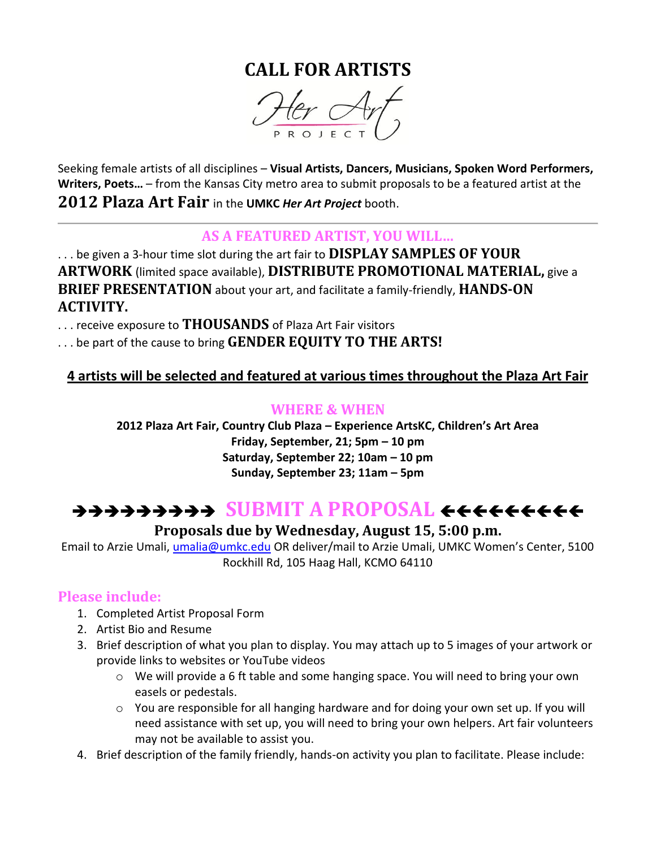# **CALL FOR ARTISTS**



Seeking female artists of all disciplines – **Visual Artists, Dancers, Musicians, Spoken Word Performers, Writers, Poets…** – from the Kansas City metro area to submit proposals to be a featured artist at the **2012 Plaza Art Fair** in the **UMKC** *Her Art Project* booth.

### **AS A FEATURED ARTIST, YOU WILL…**

. . . be given a 3-hour time slot during the art fair to **DISPLAY SAMPLES OF YOUR ARTWORK** (limited space available), **DISTRIBUTE PROMOTIONAL MATERIAL,** give a **BRIEF PRESENTATION** about your art, and facilitate a family-friendly, **HANDS-ON ACTIVITY.** 

. . . receive exposure to **THOUSANDS** of Plaza Art Fair visitors

. . . be part of the cause to bring **GENDER EQUITY TO THE ARTS!**

# **4 artists will be selected and featured at various times throughout the Plaza Art Fair**

#### **WHERE & WHEN**

**2012 Plaza Art Fair, Country Club Plaza – Experience ArtsKC, Children's Art Area Friday, September, 21; 5pm – 10 pm Saturday, September 22; 10am – 10 pm Sunday, September 23; 11am – 5pm**

# **SUBMIT A PROPOSAL**

### **Proposals due by Wednesday, August 15, 5:00 p.m.**

Email to Arzie Umali, [umalia@umkc.edu](mailto:umalia@umkc.edu) OR deliver/mail to Arzie Umali, UMKC Women's Center, 5100 Rockhill Rd, 105 Haag Hall, KCMO 64110

#### **Please include:**

- 1. Completed Artist Proposal Form
- 2. Artist Bio and Resume
- 3. Brief description of what you plan to display. You may attach up to 5 images of your artwork or provide links to websites or YouTube videos
	- $\circ$  We will provide a 6 ft table and some hanging space. You will need to bring your own easels or pedestals.
	- $\circ$  You are responsible for all hanging hardware and for doing your own set up. If you will need assistance with set up, you will need to bring your own helpers. Art fair volunteers may not be available to assist you.
- 4. Brief description of the family friendly, hands-on activity you plan to facilitate. Please include: